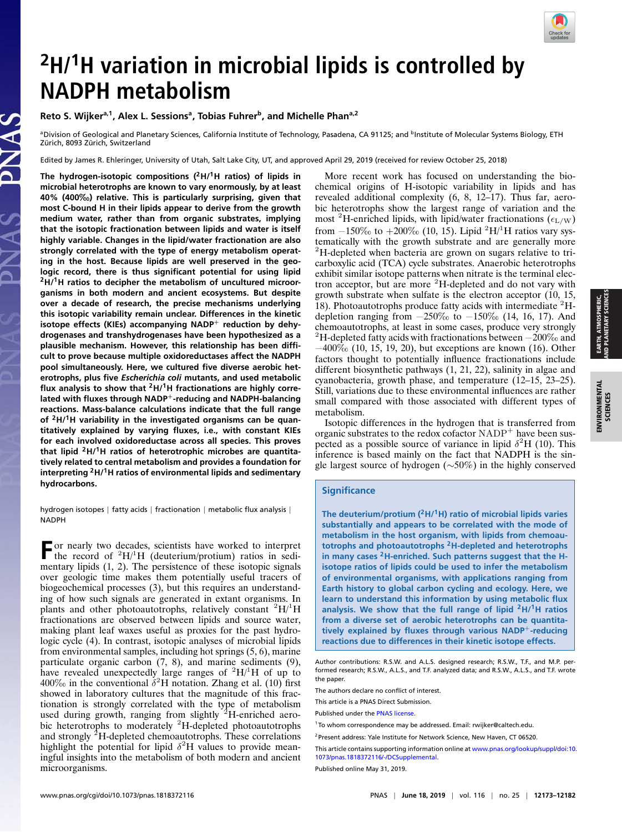

# **<sup>2</sup>H/<sup>1</sup>H variation in microbial lipids is controlled by NADPH metabolism**

## **Reto S. Wijkera,1, Alex L. Sessions<sup>a</sup> , Tobias Fuhrer<sup>b</sup> , and Michelle Phana,2**

**aDivision of Geological and Planetary Sciences, California Institute of Technology, Pasadena, CA 91125; and <sup>b</sup>Institute of Molecular Systems Biology, ETH** Zürich, 8093 Zürich, Switzerland

Edited by James R. Ehleringer, University of Utah, Salt Lake City, UT, and approved April 29, 2019 (received for review October 25, 2018)

**The hydrogen-isotopic compositions (2H/1H ratios) of lipids in microbial heterotrophs are known to vary enormously, by at least 40% (400**‰**) relative. This is particularly surprising, given that most C-bound H in their lipids appear to derive from the growth medium water, rather than from organic substrates, implying that the isotopic fractionation between lipids and water is itself highly variable. Changes in the lipid/water fractionation are also strongly correlated with the type of energy metabolism operating in the host. Because lipids are well preserved in the geologic record, there is thus significant potential for using lipid <sup>2</sup>H/1H ratios to decipher the metabolism of uncultured microorganisms in both modern and ancient ecosystems. But despite over a decade of research, the precise mechanisms underlying this isotopic variability remain unclear. Differences in the kinetic isotope effects (KIEs) accompanying NADP**<sup>+</sup> **reduction by dehydrogenases and transhydrogenases have been hypothesized as a plausible mechanism. However, this relationship has been difficult to prove because multiple oxidoreductases affect the NADPH pool simultaneously. Here, we cultured five diverse aerobic heterotrophs, plus five** *Escherichia coli* **mutants, and used metabolic flux analysis to show that <sup>2</sup>H/1H fractionations are highly correlated with fluxes through NADP**+**-reducing and NADPH-balancing reactions. Mass-balance calculations indicate that the full range of <sup>2</sup>H/1H variability in the investigated organisms can be quantitatively explained by varying fluxes, i.e., with constant KIEs for each involved oxidoreductase across all species. This proves that lipid <sup>2</sup>H/1H ratios of heterotrophic microbes are quantitatively related to central metabolism and provides a foundation for interpreting <sup>2</sup>H/1H ratios of environmental lipids and sedimentary hydrocarbons.**

hydrogen isotopes | fatty acids | fractionation | metabolic flux analysis | NADPH

**F** or nearly two decades, scientists have worked to interpret<br>the record of  ${}^{2}H/{}^{1}H$  (deuterium/protium) ratios in sedi-<br>nearly light (4...2). The presistence of the interviewing light the record of  ${}^{2}H/{}^{1}H$  (deuterium/protium) ratios in sedimentary lipids (1, 2). The persistence of these isotopic signals over geologic time makes them potentially useful tracers of biogeochemical processes (3), but this requires an understanding of how such signals are generated in extant organisms. In plants and other photoautotrophs, relatively constant  ${}^{2}H/{}^{1}H$ fractionations are observed between lipids and source water, making plant leaf waxes useful as proxies for the past hydrologic cycle (4). In contrast, isotopic analyses of microbial lipids from environmental samples, including hot springs (5, 6), marine particulate organic carbon (7, 8), and marine sediments (9), have revealed unexpectedly large ranges of  ${}^{2}H/{}^{1}H$  of up to 400‰ in the conventional  $\delta^2$ H notation. Zhang et al. (10) first showed in laboratory cultures that the magnitude of this fractionation is strongly correlated with the type of metabolism used during growth, ranging from slightly  $2H$ -enriched aerobic heterotrophs to moderately <sup>2</sup>H-depleted photoautotrophs and strongly <sup>2</sup>H-depleted chemoautotrophs. These correlations highlight the potential for lipid  $\delta^2$ H values to provide meaningful insights into the metabolism of both modern and ancient microorganisms.

More recent work has focused on understanding the biochemical origins of H-isotopic variability in lipids and has revealed additional complexity (6, 8, 12–17). Thus far, aerobic heterotrophs show the largest range of variation and the most <sup>2</sup>H-enriched lipids, with lipid/water fractionations ( $\epsilon_{\rm L/W}$ ) from  $-150\%$  to  $+200\%$  (10, 15). Lipid <sup>2</sup>H/<sup>1</sup>H ratios vary systematically with the growth substrate and are generally more <sup>2</sup>H-depleted when bacteria are grown on sugars relative to tricarboxylic acid (TCA) cycle substrates. Anaerobic heterotrophs exhibit similar isotope patterns when nitrate is the terminal electron acceptor, but are more <sup>2</sup>H-depleted and do not vary with growth substrate when sulfate is the electron acceptor (10, 15, 18). Photoautotrophs produce fatty acids with intermediate  ${}^{2}$ Hdepletion ranging from  $-250\%$  to  $-150\%$  (14, 16, 17). And chemoautotrophs, at least in some cases, produce very strongly <sup>2</sup>H-depleted fatty acids with fractionations between  $-200\%$  and  $-400\%$  (10, 15, 19, 20), but exceptions are known (16). Other factors thought to potentially influence fractionations include different biosynthetic pathways (1, 21, 22), salinity in algae and cyanobacteria, growth phase, and temperature (12–15, 23–25). Still, variations due to these environmental influences are rather small compared with those associated with different types of metabolism.

Isotopic differences in the hydrogen that is transferred from organic substrates to the redox cofactor  $NADP<sup>+</sup>$  have been suspected as a possible source of variance in lipid  $\delta^2$ H (10). This inference is based mainly on the fact that NADPH is the single largest source of hydrogen (∼50%) in the highly conserved

### **Significance**

**The deuterium/protium (2H/1H) ratio of microbial lipids varies substantially and appears to be correlated with the mode of metabolism in the host organism, with lipids from chemoautotrophs and photoautotrophs <sup>2</sup>H-depleted and heterotrophs in many cases <sup>2</sup>H-enriched. Such patterns suggest that the Hisotope ratios of lipids could be used to infer the metabolism of environmental organisms, with applications ranging from Earth history to global carbon cycling and ecology. Here, we learn to understand this information by using metabolic flux analysis. We show that the full range of lipid <sup>2</sup>H/1H ratios from a diverse set of aerobic heterotrophs can be quantitatively explained by fluxes through various NADP**+**-reducing reactions due to differences in their kinetic isotope effects.**

This article is a PNAS Direct Submission.

EARTH, ATMOSPHERIC, AND PLANETARY SCIENCES

EARTH, ATMOSPHERIC,<br>\ND PLANETARY SCIENCE:

Author contributions: R.S.W. and A.L.S. designed research; R.S.W., T.F., and M.P. performed research; R.S.W., A.L.S., and T.F. analyzed data; and R.S.W., A.L.S., and T.F. wrote the paper.

The authors declare no conflict of interest.

Published under the [PNAS license.](https://www.pnas.org/site/aboutpnas/licenses.xhtml)

<sup>&</sup>lt;sup>1</sup> To whom correspondence may be addressed. Email: [rwijker@caltech.edu.](mailto:rwijker@caltech.edu)

<sup>&</sup>lt;sup>2</sup> Present address: Yale Institute for Network Science, New Haven, CT 06520.

This article contains supporting information online at [www.pnas.org/lookup/suppl/doi:10.](https://www.pnas.org/lookup/suppl/doi:10.1073/pnas.1818372116/-/DCSupplemental) [1073/pnas.1818372116/-/DCSupplemental.](https://www.pnas.org/lookup/suppl/doi:10.1073/pnas.1818372116/-/DCSupplemental)y

Published online May 31, 2019.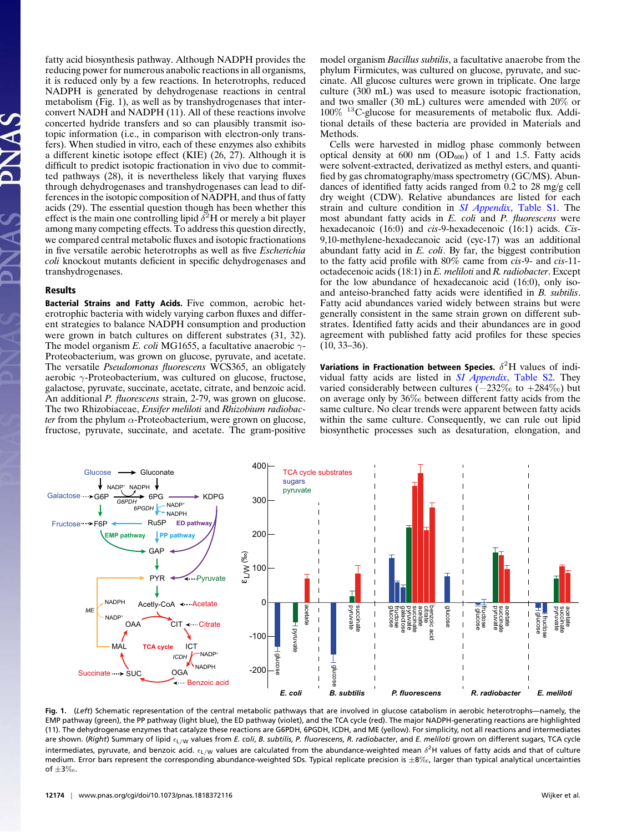fatty acid biosynthesis pathway. Although NADPH provides the reducing power for numerous anabolic reactions in all organisms, it is reduced only by a few reactions. In heterotrophs, reduced NADPH is generated by dehydrogenase reactions in central metabolism (Fig. 1), as well as by transhydrogenases that interconvert NADH and NADPH (11). All of these reactions involve concerted hydride transfers and so can plausibly transmit isotopic information (i.e., in comparison with electron-only transfers). When studied in vitro, each of these enzymes also exhibits a different kinetic isotope effect (KIE) (26, 27). Although it is difficult to predict isotopic fractionation in vivo due to committed pathways (28), it is nevertheless likely that varying fluxes through dehydrogenases and transhydrogenases can lead to differences in the isotopic composition of NADPH, and thus of fatty acids (29). The essential question though has been whether this effect is the main one controlling lipid  $\delta^2$ H or merely a bit player among many competing effects. To address this question directly, we compared central metabolic fluxes and isotopic fractionations in five versatile aerobic heterotrophs as well as five *Escherichia coli* knockout mutants deficient in specific dehydrogenases and transhydrogenases.

#### Results

Bacterial Strains and Fatty Acids. Five common, aerobic heterotrophic bacteria with widely varying carbon fluxes and different strategies to balance NADPH consumption and production were grown in batch cultures on different substrates (31, 32). The model organism *E. coli* MG1655, a facultative anaerobic  $\gamma$ -Proteobacterium, was grown on glucose, pyruvate, and acetate. The versatile *Pseudomonas fluorescens* WCS365, an obligately aerobic  $\gamma$ -Proteobacterium, was cultured on glucose, fructose, galactose, pyruvate, succinate, acetate, citrate, and benzoic acid. An additional *P. fluorescens* strain, 2-79, was grown on glucose. The two Rhizobiaceae, *Ensifer meliloti* and *Rhizobium radiobacter* from the phylum  $\alpha$ -Proteobacterium, were grown on glucose, fructose, pyruvate, succinate, and acetate. The gram-positive model organism *Bacillus subtilis*, a facultative anaerobe from the phylum Firmicutes, was cultured on glucose, pyruvate, and succinate. All glucose cultures were grown in triplicate. One large culture (300 mL) was used to measure isotopic fractionation, and two smaller (30 mL) cultures were amended with 20% or 100% <sup>13</sup>C-glucose for measurements of metabolic flux. Additional details of these bacteria are provided in Materials and Methods.

Cells were harvested in midlog phase commonly between optical density at 600 nm  $(OD_{600})$  of 1 and 1.5. Fatty acids were solvent-extracted, derivatized as methyl esters, and quantified by gas chromatography/mass spectrometry (GC/MS). Abundances of identified fatty acids ranged from 0.2 to 28 mg/g cell dry weight (CDW). Relative abundances are listed for each strain and culture condition in *[SI Appendix](https://www.pnas.org/lookup/suppl/doi:10.1073/pnas.1818372116/-/DCSupplemental)*, Table S1. The most abundant fatty acids in *E. coli* and *P. fluorescens* were hexadecanoic (16:0) and *cis*-9-hexadecenoic (16:1) acids. *Cis*-9,10-methylene-hexadecanoic acid (cyc-17) was an additional abundant fatty acid in *E. coli*. By far, the biggest contribution to the fatty acid profile with 80% came from *cis*-9- and *cis*-11 octadecenoic acids (18:1) in *E. meliloti* and *R. radiobacter*. Except for the low abundance of hexadecanoic acid (16:0), only isoand anteiso-branched fatty acids were identified in *B. subtilis*. Fatty acid abundances varied widely between strains but were generally consistent in the same strain grown on different substrates. Identified fatty acids and their abundances are in good agreement with published fatty acid profiles for these species  $(10, 33 - 36)$ .

Variations in Fractionation between Species.  $\delta^2\mathrm{H}$  values of individual fatty acids are listed in *[SI Appendix](https://www.pnas.org/lookup/suppl/doi:10.1073/pnas.1818372116/-/DCSupplemental)*, Table S2. They varied considerably between cultures (−232‰ to +284‰) but on average only by 36‰ between different fatty acids from the same culture. No clear trends were apparent between fatty acids within the same culture. Consequently, we can rule out lipid biosynthetic processes such as desaturation, elongation, and



**Fig. 1.** (*Left*) Schematic representation of the central metabolic pathways that are involved in glucose catabolism in aerobic heterotrophs—namely, the EMP pathway (green), the PP pathway (light blue), the ED pathway (violet), and the TCA cycle (red). The major NADPH-generating reactions are highlighted (11). The dehydrogenase enzymes that catalyze these reactions are G6PDH, 6PGDH, ICDH, and ME (yellow). For simplicity, not all reactions and intermediates are shown. (Right) Summary of lipid  $\epsilon_{\text{L/W}}$  values from *E. coli, B. subtilis, P. fluorescens*, *R. radiobacter*, and *E. meliloti* grown on different sugars, TCA cycle intermediates, pyruvate, and benzoic acid.  $\epsilon_{\mathsf{L}/\mathsf{W}}$  values are calculated from the abundance-weighted mean  $\delta^2$ H values of fatty acids and that of culture medium. Error bars represent the corresponding abundance-weighted SDs. Typical replicate precision is  $\pm 8\%$ , larger than typical analytical uncertainties of  $\pm 3\%$ .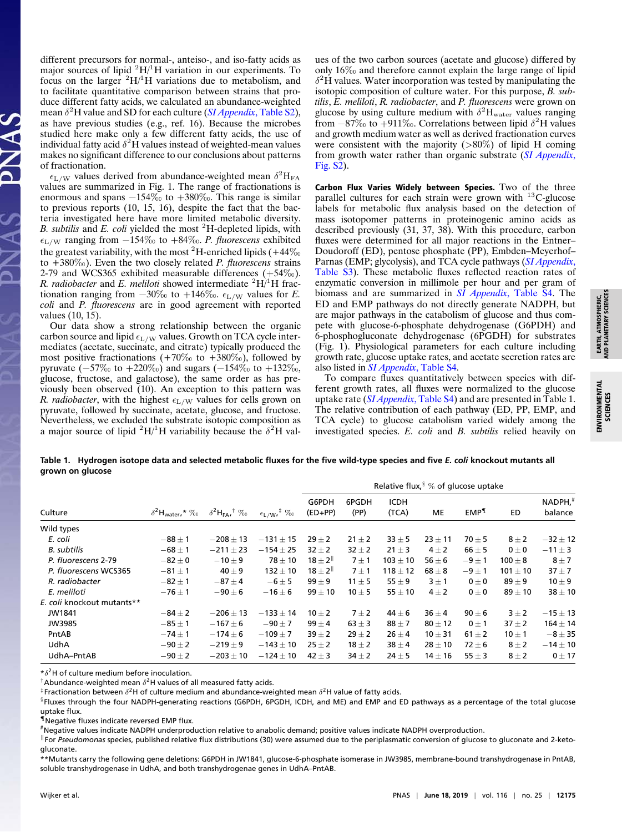different precursors for normal-, anteiso-, and iso-fatty acids as major sources of lipid  ${}^{2}H/{}^{1}H$  variation in our experiments. To focus on the larger  ${}^{2}H/{}^{1}H$  variations due to metabolism, and to facilitate quantitative comparison between strains that produce different fatty acids, we calculated an abundance-weighted mean δ <sup>2</sup>H value and SD for each culture (*[SI Appendix](https://www.pnas.org/lookup/suppl/doi:10.1073/pnas.1818372116/-/DCSupplemental)*, Table S2), as have previous studies (e.g., ref. 16). Because the microbes studied here make only a few different fatty acids, the use of individual fatty acid  $\delta^2 \dot{H}$  values instead of weighted-mean values makes no significant difference to our conclusions about patterns of fractionation.

 $\epsilon_{\rm L/W}$  values derived from abundance-weighted mean  $\delta^2$ H<sub>FA</sub> values are summarized in Fig. 1. The range of fractionations is enormous and spans −154‰ to +380‰. This range is similar to previous reports (10, 15, 16), despite the fact that the bacteria investigated here have more limited metabolic diversity. *B. subtilis* and *E. coli* yielded the most <sup>2</sup>H-depleted lipids, with L/<sup>W</sup> ranging from −154‰ to +84‰. *P. fluorescens* exhibited the greatest variability, with the most <sup>2</sup>H-enriched lipids ( $+44\%$ <sub>0</sub> to +380‰). Even the two closely related *P. fluorescens* strains 2-79 and WCS365 exhibited measurable differences  $(+54\%)$ . *R. radiobacter* and *E. meliloti* showed intermediate  ${}^{2}H/{}^{1}H$  fractionation ranging from  $-30\%$  to  $+146\%$ .  $\epsilon_{\text{L/W}}$  values for *E*. *coli* and *P. fluorescens* are in good agreement with reported values (10, 15).

Our data show a strong relationship between the organic carbon source and lipid  $\epsilon_{\text{L/W}}$  values. Growth on TCA cycle intermediates (acetate, succinate, and citrate) typically produced the most positive fractionations  $(+70\% \text{ to } +380\% \text{).}$  followed by pyruvate ( $-57\%$  to  $+220\%$ ) and sugars ( $-154\%$  to  $+132\%$ <sub>0</sub>, glucose, fructose, and galactose), the same order as has previously been observed (10). An exception to this pattern was *R. radiobacter*, with the highest  $\epsilon_{\text{L/W}}$  values for cells grown on pyruvate, followed by succinate, acetate, glucose, and fructose. Nevertheless, we excluded the substrate isotopic composition as a major source of lipid  ${}^{2}H/{}^{1}H$  variability because the  $\delta^{2}H$  val-

ues of the two carbon sources (acetate and glucose) differed by only 16‰ and therefore cannot explain the large range of lipid  $\delta^2$ H values. Water incorporation was tested by manipulating the isotopic composition of culture water. For this purpose, *B. subtilis*, *E. meliloti*, *R. radiobacter*, and *P. fluorescens* were grown on glucose by using culture medium with  $\delta^2$ H<sub>water</sub> values ranging from  $-87\%$  to  $+911\%$ . Correlations between lipid  $\delta^2$ H values and growth medium water as well as derived fractionation curves were consistent with the majority  $(>\!80\%)$  of lipid H coming from growth water rather than organic substrate (*[SI Appendix](https://www.pnas.org/lookup/suppl/doi:10.1073/pnas.1818372116/-/DCSupplemental)*, [Fig. S2\)](https://www.pnas.org/lookup/suppl/doi:10.1073/pnas.1818372116/-/DCSupplemental).

Carbon Flux Varies Widely between Species. Two of the three parallel cultures for each strain were grown with <sup>13</sup>C-glucose labels for metabolic flux analysis based on the detection of mass isotopomer patterns in proteinogenic amino acids as described previously (31, 37, 38). With this procedure, carbon fluxes were determined for all major reactions in the Entner– Doudoroff (ED), pentose phosphate (PP), Embden–Meyerhof– Parnas (EMP; glycolysis), and TCA cycle pathways (*[SI Appendix](https://www.pnas.org/lookup/suppl/doi:10.1073/pnas.1818372116/-/DCSupplemental)*, [Table S3\)](https://www.pnas.org/lookup/suppl/doi:10.1073/pnas.1818372116/-/DCSupplemental). These metabolic fluxes reflected reaction rates of enzymatic conversion in millimole per hour and per gram of biomass and are summarized in *[SI Appendix](https://www.pnas.org/lookup/suppl/doi:10.1073/pnas.1818372116/-/DCSupplemental)*, Table S4. The ED and EMP pathways do not directly generate NADPH, but are major pathways in the catabolism of glucose and thus compete with glucose-6-phosphate dehydrogenase (G6PDH) and 6-phosphogluconate dehydrogenase (6PGDH) for substrates (Fig. 1). Physiological parameters for each culture including growth rate, glucose uptake rates, and acetate secretion rates are also listed in *[SI Appendix](https://www.pnas.org/lookup/suppl/doi:10.1073/pnas.1818372116/-/DCSupplemental)*, Table S4.

To compare fluxes quantitatively between species with different growth rates, all fluxes were normalized to the glucose uptake rate (*[SI Appendix](https://www.pnas.org/lookup/suppl/doi:10.1073/pnas.1818372116/-/DCSupplemental)*, Table S4) and are presented in Table 1. The relative contribution of each pathway (ED, PP, EMP, and TCA cycle) to glucose catabolism varied widely among the investigated species. *E. coli* and *B. subtilis* relied heavily on

# **Table 1. Hydrogen isotope data and selected metabolic fluxes for the five wild-type species and five** *E. coli* **knockout mutants all**

|                            |                                       | $\delta^2$ H <sub>FA</sub> <sup>†</sup> ‰ | $\epsilon$ <sub>L/W</sub> <sup><math>\ddagger</math></sup> $\%$ <sub>0</sub> | Relative flux, $\frac{8}{3}$ % of glucose uptake |               |                      |             |                  |              |                    |  |
|----------------------------|---------------------------------------|-------------------------------------------|------------------------------------------------------------------------------|--------------------------------------------------|---------------|----------------------|-------------|------------------|--------------|--------------------|--|
| Culture                    | $\delta^2$ H <sub>water</sub> ,* $\%$ |                                           |                                                                              | G6PDH<br>$(ED+PP)$                               | 6PGDH<br>(PP) | <b>ICDH</b><br>(TCA) | МE          | EMP <sup>1</sup> | ED           | NADPH,#<br>balance |  |
| Wild types                 |                                       |                                           |                                                                              |                                                  |               |                      |             |                  |              |                    |  |
| E. coli                    | $-88 \pm 1$                           | $-208 \pm 13$                             | $-131 \pm 15$                                                                | $29 \pm 2$                                       | $21 \pm 2$    | $33 \pm 5$           | $23 \pm 11$ | $70 \pm 5$       | $8 \pm 2$    | $-32 \pm 12$       |  |
| <b>B.</b> subtilis         | $-68 \pm 1$                           | $-211 \pm 23$                             | $-154 \pm 25$                                                                | $32 \pm 2$                                       | $32 \pm 2$    | $21 \pm 3$           | $4\pm 2$    | $66 \pm 5$       | $0\pm 0$     | $-11 \pm 3$        |  |
| P. fluorescens 2-79        | $-82\pm0$                             | $-10\pm9$                                 | $78 \pm 10$                                                                  | $18 \pm 2^{\parallel}$                           | $7 \pm 1$     | $103 \pm 10$         | $56 \pm 6$  | $-9 \pm 1$       | $100 \pm 8$  | $8 \pm 7$          |  |
| P. fluorescens WCS365      | $-81 \pm 1$                           | $40 \pm 9$                                | $132 \pm 10$                                                                 | $18 \pm 2^{\parallel}$                           | $7 \pm 1$     | $118 \pm 12$         | $68 \pm 8$  | $-9 \pm 1$       | $101 \pm 10$ | $37 + 7$           |  |
| R. radiobacter             | $-82 \pm 1$                           | $-87 \pm 4$                               | $-6 \pm 5$                                                                   | $99 \pm 9$                                       | $11 \pm 5$    | $55 \pm 9$           | $3 \pm 1$   | $0 \pm 0$        | $89 \pm 9$   | $10 \pm 9$         |  |
| E. meliloti                | $-76 \pm 1$                           | $-90\pm 6$                                | $-16\pm 6$                                                                   | $99 \pm 10$                                      | $10 \pm 5$    | $55 \pm 10$          | $4\pm 2$    | $0\pm 0$         | $89 \pm 10$  | $38 \pm 10$        |  |
| E. coli knockout mutants** |                                       |                                           |                                                                              |                                                  |               |                      |             |                  |              |                    |  |
| JW1841                     | $-84\pm 2$                            | $-206 \pm 13$                             | $-133 \pm 14$                                                                | $10 \pm 2$                                       | $7 \pm 2$     | $44 \pm 6$           | $36 \pm 4$  | $90 \pm 6$       | $3 \pm 2$    | $-15 \pm 13$       |  |
| JW3985                     | $-85 \pm 1$                           | $-167 \pm 6$                              | $-90 \pm 7$                                                                  | $99 \pm 4$                                       | $63 \pm 3$    | $88 \pm 7$           | $80 \pm 12$ | $0 \pm 1$        | $37 + 2$     | $164 \pm 14$       |  |
| PntAB                      | $-74 \pm 1$                           | $-174 \pm 6$                              | $-109 \pm 7$                                                                 | $39 \pm 2$                                       | $29 \pm 2$    | $26 \pm 4$           | $10 \pm 31$ | $61 \pm 2$       | $10 \pm 1$   | $-8 \pm 35$        |  |
| UdhA                       | $-90\pm 2$                            | $-219 \pm 9$                              | $-143 \pm 10$                                                                | $25 \pm 2$                                       | $18 \pm 2$    | $38 \pm 4$           | $28 \pm 10$ | $72 \pm 6$       | $8 \pm 2$    | $-14\pm10$         |  |
| UdhA-PntAB                 | $-90\pm 2$                            | $-203 \pm 10$                             | $-124 \pm 10$                                                                | $42 \pm 3$                                       | $34 \pm 2$    | $24 \pm 5$           | $14 \pm 16$ | $55 \pm 3$       | $8 \pm 2$    | $0 \pm 17$         |  |

 $*\delta^2$ H of culture medium before inoculation.

**grown on glucose**

 $\dagger$ Abundance-weighted mean  $\delta^2$ H values of all measured fatty acids.

 $^{\ddagger}$ Fractionation between  $\delta^2$ H of culture medium and abundance-weighted mean  $\delta^2$ H value of fatty acids.

 $^{\S}$ Fluxes through the four NADPH-generating reactions (G6PDH, 6PGDH, ICDH, and ME) and EMP and ED pathways as a percentage of the total glucose uptake flux.

¶Negative fluxes indicate reversed EMP flux.

#Negative values indicate NADPH underproduction relative to anabolic demand; positive values indicate NADPH overproduction.

<sup>||</sup> For Pseudomonas species, published relative flux distributions (30) were assumed due to the periplasmatic conversion of glucose to gluconate and 2-ketogluconate.

\*\*Mutants carry the following gene deletions: G6PDH in JW1841, glucose-6-phosphate isomerase in JW3985, membrane-bound transhydrogenase in PntAB, soluble transhydrogenase in UdhA, and both transhydrogenae genes in UdhA–PntAB.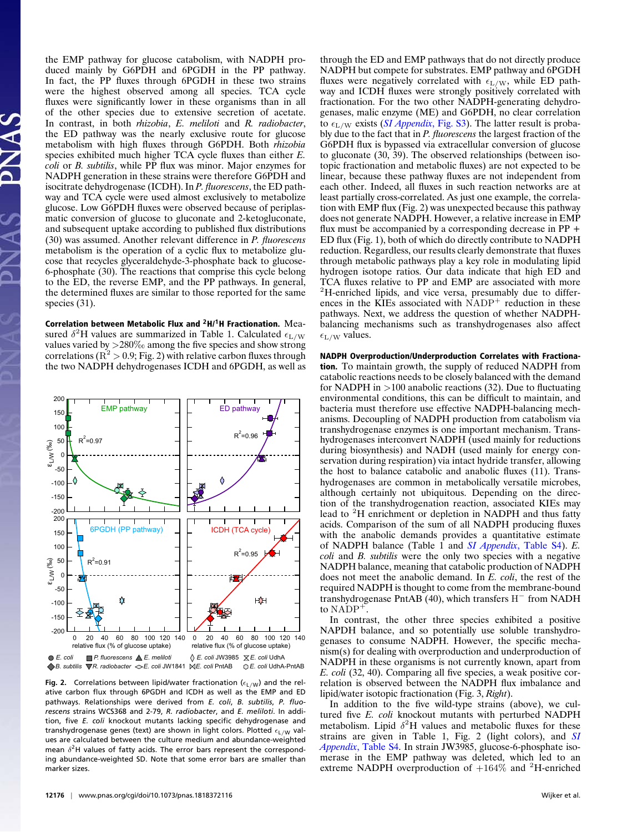the EMP pathway for glucose catabolism, with NADPH produced mainly by G6PDH and 6PGDH in the PP pathway. In fact, the PP fluxes through 6PGDH in these two strains were the highest observed among all species. TCA cycle fluxes were significantly lower in these organisms than in all of the other species due to extensive secretion of acetate. In contrast, in both *rhizobia*, *E. meliloti* and *R. radiobacter*, the ED pathway was the nearly exclusive route for glucose metabolism with high fluxes through G6PDH. Both *rhizobia* species exhibited much higher TCA cycle fluxes than either *E. coli* or *B. subtilis*, while PP flux was minor. Major enzymes for NADPH generation in these strains were therefore G6PDH and isocitrate dehydrogenase (ICDH). In *P. fluorescens*, the ED pathway and TCA cycle were used almost exclusively to metabolize glucose. Low G6PDH fluxes were observed because of periplasmatic conversion of glucose to gluconate and 2-ketogluconate, and subsequent uptake according to published flux distributions (30) was assumed. Another relevant difference in *P. fluorescens* metabolism is the operation of a cyclic flux to metabolize glucose that recycles glyceraldehyde-3-phosphate back to glucose-6-phosphate (30). The reactions that comprise this cycle belong to the ED, the reverse EMP, and the PP pathways. In general, the determined fluxes are similar to those reported for the same species (31).

Correlation between Metabolic Flux and **<sup>2</sup>**H/**1**H Fractionation. Measured  $\delta^2$ H values are summarized in Table 1. Calculated  $\epsilon_{\text{L/W}}$ values varied by >280‰ among the five species and show strong correlations ( $R^2 > 0.9$ ; Fig. 2) with relative carbon fluxes through the two NADPH dehydrogenases ICDH and 6PGDH, as well as



**Fig. 2.** Correlations between lipid/water fractionation ( $\epsilon_{L/W}$ ) and the relative carbon flux through 6PGDH and ICDH as well as the EMP and ED pathways. Relationships were derived from *E. coli*, *B. subtilis*, *P. fluorescens* strains WCS368 and 2-79, *R. radiobacter*, and *E. meliloti*. In addition, five *E. coli* knockout mutants lacking specific dehydrogenase and transhydrogenase genes (text) are shown in light colors. Plotted  $\epsilon_{L/W}$  values are calculated between the culture medium and abundance-weighted mean  $\delta^2$ H values of fatty acids. The error bars represent the corresponding abundance-weighted SD. Note that some error bars are smaller than marker sizes.

through the ED and EMP pathways that do not directly produce NADPH but compete for substrates. EMP pathway and 6PGDH fluxes were negatively correlated with  $\epsilon_{\text{L/W}}$ , while ED pathway and ICDH fluxes were strongly positively correlated with fractionation. For the two other NADPH-generating dehydrogenases, malic enzyme (ME) and G6PDH, no clear correlation to  $\epsilon_{\rm L/W}$  exists (*[SI Appendix](https://www.pnas.org/lookup/suppl/doi:10.1073/pnas.1818372116/-/DCSupplemental)*, Fig. S3). The latter result is probably due to the fact that in *P. fluorescens* the largest fraction of the G6PDH flux is bypassed via extracellular conversion of glucose to gluconate (30, 39). The observed relationships (between isotopic fractionation and metabolic fluxes) are not expected to be linear, because these pathway fluxes are not independent from each other. Indeed, all fluxes in such reaction networks are at least partially cross-correlated. As just one example, the correlation with EMP flux (Fig. 2) was unexpected because this pathway does not generate NADPH. However, a relative increase in EMP flux must be accompanied by a corresponding decrease in PP + ED flux (Fig. 1), both of which do directly contribute to NADPH reduction. Regardless, our results clearly demonstrate that fluxes through metabolic pathways play a key role in modulating lipid hydrogen isotope ratios. Our data indicate that high ED and TCA fluxes relative to PP and EMP are associated with more <sup>2</sup>H-enriched lipids, and vice versa, presumably due to differences in the KIEs associated with  $NADP<sup>+</sup>$  reduction in these pathways. Next, we address the question of whether NADPHbalancing mechanisms such as transhydrogenases also affect  $\epsilon_{\rm L/W}$  values.

NADPH Overproduction/Underproduction Correlates with Fractionation. To maintain growth, the supply of reduced NADPH from catabolic reactions needs to be closely balanced with the demand for NADPH in >100 anabolic reactions (32). Due to fluctuating environmental conditions, this can be difficult to maintain, and bacteria must therefore use effective NADPH-balancing mechanisms. Decoupling of NADPH production from catabolism via transhydrogenase enzymes is one important mechanism. Transhydrogenases interconvert NADPH (used mainly for reductions during biosynthesis) and NADH (used mainly for energy conservation during respiration) via intact hydride transfer, allowing the host to balance catabolic and anabolic fluxes (11). Transhydrogenases are common in metabolically versatile microbes, although certainly not ubiquitous. Depending on the direction of the transhydrogenation reaction, associated KIEs may lead to <sup>2</sup>H enrichment or depletion in NADPH and thus fatty acids. Comparison of the sum of all NADPH producing fluxes with the anabolic demands provides a quantitative estimate of NADPH balance (Table 1 and *[SI Appendix](https://www.pnas.org/lookup/suppl/doi:10.1073/pnas.1818372116/-/DCSupplemental)*, Table S4). *E. coli* and *B. subtilis* were the only two species with a negative NADPH balance, meaning that catabolic production of NADPH does not meet the anabolic demand. In *E. coli*, the rest of the required NADPH is thought to come from the membrane-bound transhydrogenase PntAB (40), which transfers  $H^-$  from NADH to NADP<sup>+</sup>

In contrast, the other three species exhibited a positive NAPDH balance, and so potentially use soluble transhydrogenases to consume NADPH. However, the specific mechanism(s) for dealing with overproduction and underproduction of NADPH in these organisms is not currently known, apart from *E. coli* (32, 40). Comparing all five species, a weak positive correlation is observed between the NADPH flux imbalance and lipid/water isotopic fractionation (Fig. 3, *Right*).

In addition to the five wild-type strains (above), we cultured five *E. coli* knockout mutants with perturbed NADPH metabolism. Lipid  $\delta^2$ H values and metabolic fluxes for these strains are given in Table 1, Fig. 2 (light colors), and *[SI](https://www.pnas.org/lookup/suppl/doi:10.1073/pnas.1818372116/-/DCSupplemental) Appendix*[, Table S4.](https://www.pnas.org/lookup/suppl/doi:10.1073/pnas.1818372116/-/DCSupplemental) In strain JW3985, glucose-6-phosphate isomerase in the EMP pathway was deleted, which led to an extreme NADPH overproduction of  $+164\%$  and <sup>2</sup>H-enriched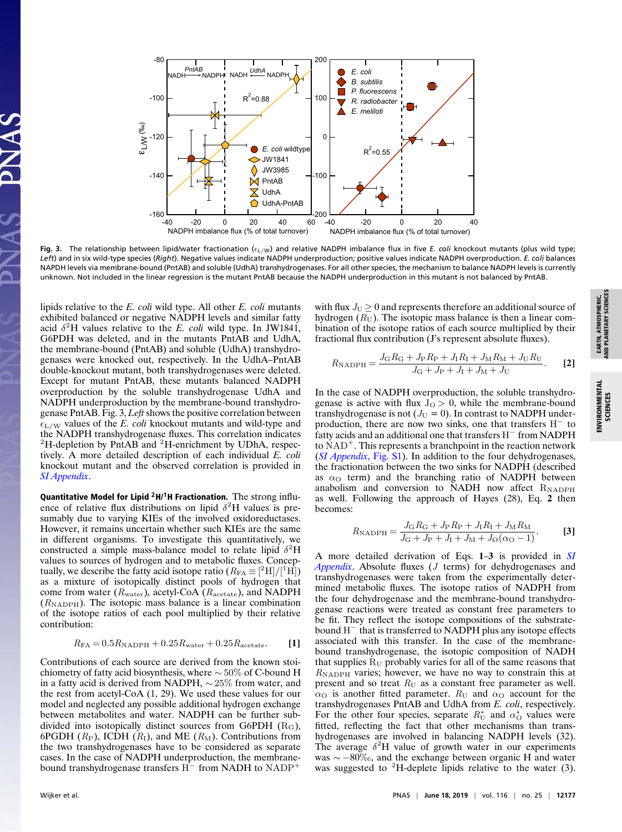

Fig. 3. The relationship between lipid/water fractionation ( $\epsilon_{L/W}$ ) and relative NADPH imbalance flux in five *E. coli* knockout mutants (plus wild type; *Left*) and in six wild-type species (*Right*). Negative values indicate NADPH underproduction; positive values indicate NADPH overproduction. *E. coli* balances NAPDH levels via membrane-bound (PntAB) and soluble (UdhA) transhydrogenases. For all other species, the mechanism to balance NADPH levels is currently unknown. Not included in the linear regression is the mutant PntAB because the NADPH underproduction in this mutant is not balanced by PntAB.

lipids relative to the *E. coli* wild type. All other *E. coli* mutants exhibited balanced or negative NADPH levels and similar fatty acid  $\delta^2$ H values relative to the *E. coli* wild type. In JW1841, G6PDH was deleted, and in the mutants PntAB and UdhA, the membrane-bound (PntAB) and soluble (UdhA) transhydrogenases were knocked out, respectively. In the UdhA–PntAB double-knockout mutant, both transhydrogenases were deleted. Except for mutant PntAB, these mutants balanced NADPH overproduction by the soluble transhydrogenase UdhA and NADPH underproduction by the membrane-bound transhydrogenase PntAB. Fig. 3, *Left* shows the positive correlation between  $\epsilon_{\text{L/W}}$  values of the *E. coli* knockout mutants and wild-type and the NADPH transhydrogenase fluxes. This correlation indicates  ${}^{2}$ H-depletion by PntAB and  ${}^{2}$ H-enrichment by UDhA, respectively. A more detailed description of each individual *E. coli* knockout mutant and the observed correlation is provided in *[SI Appendix](https://www.pnas.org/lookup/suppl/doi:10.1073/pnas.1818372116/-/DCSupplemental)*.

Quantitative Model for Lipid **<sup>2</sup>**H/**1**H Fractionation. The strong influence of relative flux distributions on lipid  $\delta^2$ H values is presumably due to varying KIEs of the involved oxidoreductases. However, it remains uncertain whether such KIEs are the same in different organisms. To investigate this quantitatively, we constructed a simple mass-balance model to relate lipid  $\delta^2$ H values to sources of hydrogen and to metabolic fluxes. Conceptually, we describe the fatty acid isotope ratio  $(R_{FA} \equiv [^2H]/[^1H])$ as a mixture of isotopically distinct pools of hydrogen that come from water (Rwater), acetyl-CoA (Racetate), and NADPH  $(R_{\text{NADPH}})$ . The isotopic mass balance is a linear combination of the isotope ratios of each pool multiplied by their relative contribution:

$$
R_{\text{FA}} = 0.5R_{\text{NADPH}} + 0.25R_{\text{water}} + 0.25R_{\text{acetate}}.
$$
 [1]

Contributions of each source are derived from the known stoichiometry of fatty acid biosynthesis, where  $\sim$  50% of C-bound H in a fatty acid is derived from NADPH, ∼ 25% from water, and the rest from acetyl-CoA (1, 29). We used these values for our model and neglected any possible additional hydrogen exchange between metabolites and water. NADPH can be further subdivided into isotopically distinct sources from G6PDH  $(R<sub>G</sub>)$ , 6PGDH  $(R_P)$ , ICDH  $(R_I)$ , and ME  $(R_M)$ . Contributions from the two transhydrogenases have to be considered as separate cases. In the case of NADPH underproduction, the membranebound transhydrogenase transfers  $H^-$  from NADH to NADP<sup>+</sup>

with flux  $J_U \geq 0$  and represents therefore an additional source of hydrogen  $(R_U)$ . The isotopic mass balance is then a linear combination of the isotope ratios of each source multiplied by their fractional flux contribution (J's represent absolute fluxes).

$$
R_{\rm NADPH} = \frac{J_{\rm G}R_{\rm G} + J_{\rm P}R_{\rm P} + J_{\rm I}R_{\rm I} + J_{\rm M}R_{\rm M} + J_{\rm U}R_{\rm U}}{J_{\rm G} + J_{\rm P} + J_{\rm I} + J_{\rm M} + J_{\rm U}}.
$$
 [2]

In the case of NADPH overproduction, the soluble transhydrogenase is active with flux  $J<sub>O</sub> > 0$ , while the membrane-bound transhydrogenase is not  $(J_U = 0)$ . In contrast to NADPH underproduction, there are now two sinks, one that transfers  $H^-$  to fatty acids and an additional one that transfers H <sup>−</sup> from NADPH to  $NAD<sup>+</sup>$ . This represents a branchpoint in the reaction network (*[SI Appendix](https://www.pnas.org/lookup/suppl/doi:10.1073/pnas.1818372116/-/DCSupplemental)*, Fig. S1). In addition to the four dehydrogenases, the fractionation between the two sinks for NADPH (described as  $\alpha$ <sup>O</sup> term) and the branching ratio of NADPH between anabolism and conversion to NADH now affect RNADPH as well. Following the approach of Hayes (28), Eq. **2** then becomes:

$$
R_{\text{NADPH}} = \frac{J_{\text{G}} R_{\text{G}} + J_{\text{P}} R_{\text{P}} + J_{\text{I}} R_{\text{I}} + J_{\text{M}} R_{\text{M}}}{J_{\text{G}} + J_{\text{P}} + J_{\text{I}} + J_{\text{M}} + J_{\text{O}}(\alpha_{\text{O}} - 1)}.
$$
 [3]

A more detailed derivation of Eqs. **1**–**3** is provided in *[SI](https://www.pnas.org/lookup/suppl/doi:10.1073/pnas.1818372116/-/DCSupplemental) [Appendix](https://www.pnas.org/lookup/suppl/doi:10.1073/pnas.1818372116/-/DCSupplemental)*. Absolute fluxes (J terms) for dehydrogenases and transhydrogenases were taken from the experimentally determined metabolic fluxes. The isotope ratios of NADPH from the four dehydrogenase and the membrane-bound transhydrogenase reactions were treated as constant free parameters to be fit. They reflect the isotope compositions of the substratebound  $H^-$  that is transferred to NADPH plus any isotope effects associated with this transfer. In the case of the membranebound transhydrogenase, the isotopic composition of NADH that supplies  $R_U$  probably varies for all of the same reasons that  $R_{\text{NADPH}}$  varies; however, we have no way to constrain this at present and so treat  $R_U$  as a constant free parameter as well.  $\alpha$ <sup>O</sup> is another fitted parameter.  $R_U$  and  $\alpha$ <sup>O</sup> account for the transhydrogenases PntAB and UdhA from *E. coli*, respectively. For the other four species, separate  $R_{\text{U}}^*$  and  $\alpha_{\text{O}}^*$  values were fitted, reflecting the fact that other mechanisms than transhydrogenases are involved in balancing NADPH levels (32). The average  $\delta^2$ H value of growth water in our experiments was ∼ −80‰, and the exchange between organic H and water was suggested to  ${}^{2}$ H-deplete lipids relative to the water (3).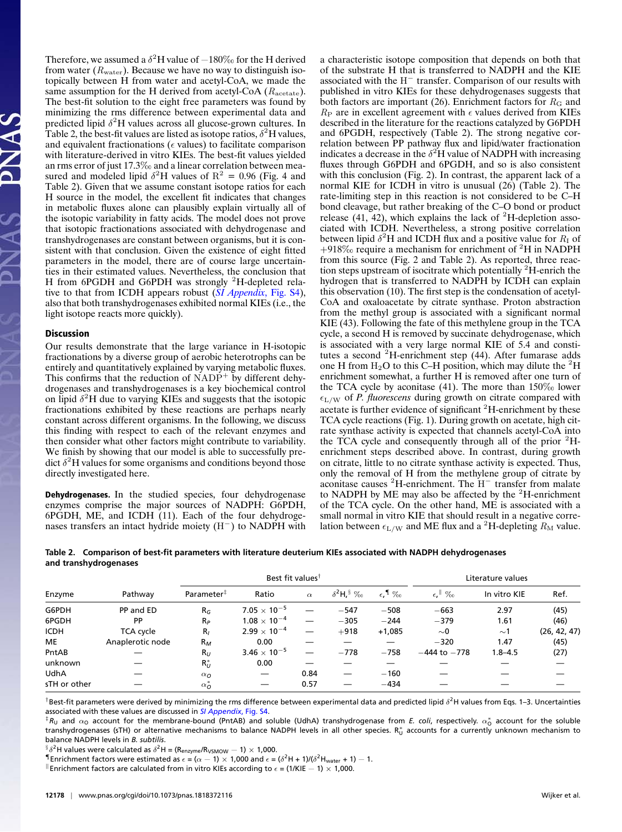Therefore, we assumed a  $\delta^2$ H value of  $-180\%$  for the H derived from water ( $R<sub>water</sub>$ ). Because we have no way to distinguish isotopically between H from water and acetyl-CoA, we made the same assumption for the H derived from acetyl-CoA  $(R_{\text{acetate}})$ . The best-fit solution to the eight free parameters was found by minimizing the rms difference between experimental data and predicted lipid  $\delta^2$ H values across all glucose-grown cultures. In Table 2, the best-fit values are listed as isotope ratios,  $\delta^2$ H values, and equivalent fractionations ( $\epsilon$  values) to facilitate comparison with literature-derived in vitro KIEs. The best-fit values yielded an rms error of just 17.3‰ and a linear correlation between measured and modeled lipid  $\delta^2$ H values of R<sup>2</sup> = 0.96 (Fig. 4 and Table 2). Given that we assume constant isotope ratios for each H source in the model, the excellent fit indicates that changes in metabolic fluxes alone can plausibly explain virtually all of the isotopic variability in fatty acids. The model does not prove that isotopic fractionations associated with dehydrogenase and transhydrogenases are constant between organisms, but it is consistent with that conclusion. Given the existence of eight fitted parameters in the model, there are of course large uncertainties in their estimated values. Nevertheless, the conclusion that H from 6PGDH and G6PDH was strongly <sup>2</sup>H-depleted relative to that from ICDH appears robust (*[SI Appendix](https://www.pnas.org/lookup/suppl/doi:10.1073/pnas.1818372116/-/DCSupplemental)*, Fig. S4), also that both transhydrogenases exhibited normal KIEs (i.e., the light isotope reacts more quickly).

### Discussion

Our results demonstrate that the large variance in H-isotopic fractionations by a diverse group of aerobic heterotrophs can be entirely and quantitatively explained by varying metabolic fluxes. This confirms that the reduction of  $NADP<sup>+</sup>$  by different dehydrogenases and transhydrogenases is a key biochemical control on lipid  $\delta^2$ H due to varying KIEs and suggests that the isotopic fractionations exhibited by these reactions are perhaps nearly constant across different organisms. In the following, we discuss this finding with respect to each of the relevant enzymes and then consider what other factors might contribute to variability. We finish by showing that our model is able to successfully predict  $\delta^2$ H values for some organisms and conditions beyond those directly investigated here.

Dehydrogenases. In the studied species, four dehydrogenase enzymes comprise the major sources of NADPH: G6PDH, 6PGDH, ME, and ICDH (11). Each of the four dehydrogenases transfers an intact hydride moiety  $(H^-)$  to NADPH with

a characteristic isotope composition that depends on both that of the substrate H that is transferred to NADPH and the KIE associated with the  $H^-$  transfer. Comparison of our results with published in vitro KIEs for these dehydrogenases suggests that both factors are important (26). Enrichment factors for  $R<sub>G</sub>$  and  $R_P$  are in excellent agreement with  $\epsilon$  values derived from KIEs described in the literature for the reactions catalyzed by G6PDH and 6PGDH, respectively (Table 2). The strong negative correlation between PP pathway flux and lipid/water fractionation indicates a decrease in the  $\delta^2$ H value of NADPH with increasing fluxes through G6PDH and 6PGDH, and so is also consistent with this conclusion (Fig. 2). In contrast, the apparent lack of a normal KIE for ICDH in vitro is unusual  $(26)$  (Table 2). The rate-limiting step in this reaction is not considered to be C–H bond cleavage, but rather breaking of the C–O bond or product release  $(41, 42)$ , which explains the lack of <sup>2</sup>H-depletion associated with ICDH. Nevertheless, a strong positive correlation between lipid  $\delta^2$ H and ICDH flux and a positive value for  $R_I$  of  $+918\%$  require a mechanism for enrichment of <sup>2</sup>H in NADPH from this source (Fig. 2 and Table 2). As reported, three reaction steps upstream of isocitrate which potentially <sup>2</sup>H-enrich the hydrogen that is transferred to NADPH by ICDH can explain this observation (10). The first step is the condensation of acetyl-CoA and oxaloacetate by citrate synthase. Proton abstraction from the methyl group is associated with a significant normal KIE (43). Following the fate of this methylene group in the TCA cycle, a second H is removed by succinate dehydrogenase, which is associated with a very large normal KIE of 5.4 and constitutes a second  ${}^{2}$ H-enrichment step (44). After fumarase adds one H from  $H_2O$  to this C–H position, which may dilute the <sup>2</sup>H enrichment somewhat, a further H is removed after one turn of the TCA cycle by aconitase (41). The more than 150‰ lower  $\epsilon_{\rm L/W}$  of *P. fluorescens* during growth on citrate compared with acetate is further evidence of significant  ${}^{2}$ H-enrichment by these TCA cycle reactions (Fig. 1). During growth on acetate, high citrate synthase activity is expected that channels acetyl-CoA into the TCA cycle and consequently through all of the prior  ${}^{2}$ Henrichment steps described above. In contrast, during growth on citrate, little to no citrate synthase activity is expected. Thus, only the removal of H from the methylene group of citrate by aconitase causes  ${}^{2}$ H-enrichment. The H<sup>-</sup> transfer from malate to NADPH by ME may also be affected by the  $2<sup>2</sup>$ H-enrichment of the TCA cycle. On the other hand, ME is associated with a small normal in vitro KIE that should result in a negative correlation between  $\epsilon_{\text{L/W}}$  and ME flux and a <sup>2</sup>H-depleting  $R_{\text{M}}$  value.

| Table 2. Comparison of best-fit parameters with literature deuterium KIEs associated with NADPH dehydrogenases |
|----------------------------------------------------------------------------------------------------------------|
| and transhydrogenases                                                                                          |

|              |                  |                          | Best fit values <sup>†</sup> |          | Literature values                                        |                              |                   |              |              |
|--------------|------------------|--------------------------|------------------------------|----------|----------------------------------------------------------|------------------------------|-------------------|--------------|--------------|
| Enzyme       | Pathway          | Parameter <sup>#</sup>   | Ratio                        | $\alpha$ | $\delta^2$ H <sub>r</sub> <sup>§</sup> $\%$ <sub>o</sub> | $\epsilon$ , $\sqrt[4]{200}$ | $\epsilon$ , $\%$ | In vitro KIE | Ref.         |
| G6PDH        | PP and ED        | $R_G$                    | $7.05 \times 10^{-5}$        |          | $-547$                                                   | $-508$                       | $-663$            | 2.97         | (45)         |
| 6PGDH        | PP               | $R_P$                    | $1.08 \times 10^{-4}$        |          | $-305$                                                   | $-244$                       | $-379$            | 1.61         | (46)         |
| ICDH         | TCA cycle        | $R_{I}$                  | $2.99 \times 10^{-4}$        |          | $+918$                                                   | $+1,085$                     | $\sim$ 0          | $\sim$ 1     | (26, 42, 47) |
| ME           | Anaplerotic node | $R_M$                    | 0.00                         |          |                                                          |                              | $-320$            | 1.47         | (45)         |
| PntAB        |                  | $R_U$                    | $3.46 \times 10^{-5}$        |          | $-778$                                                   | $-758$                       | $-444$ to $-778$  | $1.8 - 4.5$  | (27)         |
| unknown      |                  | $R_U^*$                  | 0.00                         |          |                                                          |                              |                   |              |              |
| UdhA         |                  | $\alpha$ <sup>O</sup>    | $\overline{\phantom{m}}$     | 0.84     |                                                          | $-160$                       |                   |              |              |
| sTH or other |                  | $\alpha_{\mathcal{O}}^*$ |                              | 0.57     |                                                          | $-434$                       |                   |              |              |

 $^{\dagger}$ Best-fit parameters were derived by minimizing the rms difference between experimental data and predicted lipid  $\delta^2$ H values from Eqs. 1–3. Uncertainties associated with these values are discussed in *[SI Appendix](https://www.pnas.org/lookup/suppl/doi:10.1073/pnas.1818372116/-/DCSupplemental)*, Fig. S4.

 ${}^\ddagger R$ u and  $\alpha$ o account for the membrane-bound (PntAB) and soluble (UdhA) transhydrogenase from *E. coli,* respectively.  $\alpha^*_0$  account for the soluble transhydrogenases (sTH) or alternative mechanisms to balance NADPH levels in all other species.  $\mathrm{R}_{\mathrm{U}}^*$  accounts for a currently unknown mechanism to balance NADPH levels in *B. subtilis*.

 $\delta \delta^2$ H values were calculated as  $\delta^2$ H = (R<sub>enzyme</sub>/R<sub>VSMOW</sub> – 1) × 1,000.

 $\P$ Enrichment factors were estimated as  $\epsilon$  = ( $\alpha$   $-$  1)  $\times$  1,000 and  $\epsilon$  = ( $\delta^2$ H + 1)/( $\delta^2$ H<sub>water</sub> + 1)  $-$  1.

 $\parallel$  Enrichment factors are calculated from in vitro KIEs according to  $\epsilon$  = (1/KIE  $-$  1)  $\times$  1,000.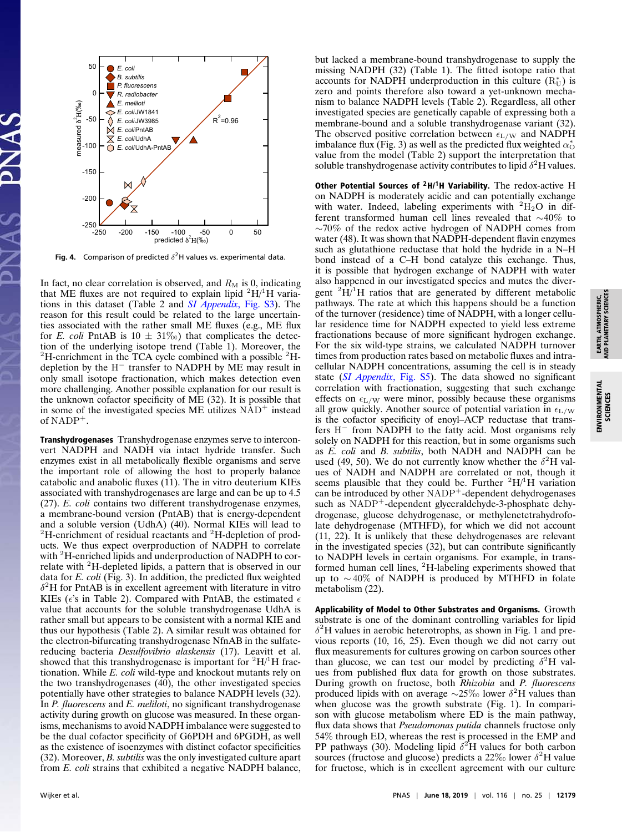

**Fig. 4.** Comparison of predicted  $\delta^2$ H values vs. experimental data.

In fact, no clear correlation is observed, and  $R_M$  is 0, indicating that ME fluxes are not required to explain lipid  ${}^{2}H/{}^{1}H$  variations in this dataset (Table 2 and *[SI Appendix](https://www.pnas.org/lookup/suppl/doi:10.1073/pnas.1818372116/-/DCSupplemental)*, Fig. S3). The reason for this result could be related to the large uncertainties associated with the rather small ME fluxes (e.g., ME flux for *E. coli* PntAB is  $10 \pm 31\%$ ) that complicates the detection of the underlying isotope trend (Table 1). Moreover, the  ${}^{2}$ H-enrichment in the TCA cycle combined with a possible  ${}^{2}$ Hdepletion by the  $H^-$  transfer to NADPH by ME may result in only small isotope fractionation, which makes detection even more challenging. Another possible explanation for our result is the unknown cofactor specificity of ME (32). It is possible that in some of the investigated species  $ME$  utilizes  $NAD<sup>+</sup>$  instead of  $NADP^+$ .

Transhydrogenases Transhydrogenase enzymes serve to interconvert NADPH and NADH via intact hydride transfer. Such enzymes exist in all metabolically flexible organisms and serve the important role of allowing the host to properly balance catabolic and anabolic fluxes (11). The in vitro deuterium KIEs associated with transhydrogenases are large and can be up to 4.5 (27). *E. coli* contains two different transhydrogenase enzymes, a membrane-bound version (PntAB) that is energy-dependent and a soluble version (UdhA) (40). Normal KIEs will lead to  ${}^{2}$ H-enrichment of residual reactants and  ${}^{2}$ H-depletion of products. We thus expect overproduction of NADPH to correlate with <sup>2</sup>H-enriched lipids and underproduction of NADPH to correlate with <sup>2</sup>H-depleted lipids, a pattern that is observed in our data for *E. coli* (Fig. 3). In addition, the predicted flux weighted  $\delta^2$ H for PntAB is in excellent agreement with literature in vitro KIEs ( $\epsilon$ 's in Table 2). Compared with PntAB, the estimated  $\epsilon$ value that accounts for the soluble transhydrogenase UdhA is rather small but appears to be consistent with a normal KIE and thus our hypothesis (Table 2). A similar result was obtained for the electron-bifurcating transhydrogenase NfnAB in the sulfatereducing bacteria *Desulfovibrio alaskensis* (17). Leavitt et al. showed that this transhydrogenase is important for  ${}^{2}H/{}^{1}H$  fractionation. While *E. coli* wild-type and knockout mutants rely on the two transhydrogenases (40), the other investigated species potentially have other strategies to balance NADPH levels (32). In *P. fluorescens* and *E. meliloti*, no significant transhydrogenase activity during growth on glucose was measured. In these organisms, mechanisms to avoid NADPH imbalance were suggested to be the dual cofactor specificity of G6PDH and 6PGDH, as well as the existence of isoenzymes with distinct cofactor specificities (32). Moreover, *B. subtilis* was the only investigated culture apart from *E. coli* strains that exhibited a negative NADPH balance,

but lacked a membrane-bound transhydrogenase to supply the missing NADPH (32) (Table 1). The fitted isotope ratio that accounts for NADPH underproduction in this culture  $(R_U^*)$  is zero and points therefore also toward a yet-unknown mechanism to balance NADPH levels (Table 2). Regardless, all other investigated species are genetically capable of expressing both a membrane-bound and a soluble transhydrogenase variant (32). The observed positive correlation between  $\epsilon_{\rm L/W}$  and NADPH imbalance flux (Fig. 3) as well as the predicted flux weighted  $\alpha_O^*$ value from the model (Table 2) support the interpretation that soluble transhydrogenase activity contributes to lipid  $\delta^2$ H values.

Other Potential Sources of **<sup>2</sup>**H/**1**H Variability. The redox-active H on NADPH is moderately acidic and can potentially exchange with water. Indeed, labeling experiments with  ${}^{2}H_{2}O$  in different transformed human cell lines revealed that ∼40% to ∼70% of the redox active hydrogen of NADPH comes from water (48). It was shown that NADPH-dependent flavin enzymes such as glutathione reductase that hold the hydride in a N–H bond instead of a C–H bond catalyze this exchange. Thus, it is possible that hydrogen exchange of NADPH with water also happened in our investigated species and mutes the divergent  ${}^{2}H/{}^{1}H$  ratios that are generated by different metabolic pathways. The rate at which this happens should be a function of the turnover (residence) time of NADPH, with a longer cellular residence time for NADPH expected to yield less extreme fractionations because of more significant hydrogen exchange. For the six wild-type strains, we calculated NADPH turnover times from production rates based on metabolic fluxes and intracellular NADPH concentrations, assuming the cell is in steady state (*[SI Appendix](https://www.pnas.org/lookup/suppl/doi:10.1073/pnas.1818372116/-/DCSupplemental)*, Fig. S5). The data showed no significant correlation with fractionation, suggesting that such exchange effects on  $\epsilon_{\text{L/W}}$  were minor, possibly because these organisms all grow quickly. Another source of potential variation in  $\epsilon_{\text{L/W}}$ is the cofactor specificity of enoyl–ACP reductase that transfers H<sup>−</sup> from NADPH to the fatty acid. Most organisms rely solely on NADPH for this reaction, but in some organisms such as *E. coli* and *B. subtilis*, both NADH and NADPH can be used (49, 50). We do not currently know whether the  $\delta^2$ H values of NADH and NADPH are correlated or not, though it seems plausible that they could be. Further  ${}^{2}H/{}^{1}H$  variation can be introduced by other NADP<sup>+</sup>-dependent dehydrogenases such as NADP<sup>+</sup>-dependent glyceraldehyde-3-phosphate dehydrogenase, glucose dehydrogenase, or methylenetetrahydrofolate dehydrogenase (MTHFD), for which we did not account (11, 22). It is unlikely that these dehydrogenases are relevant in the investigated species (32), but can contribute significantly to NADPH levels in certain organisms. For example, in transformed human cell lines, <sup>2</sup>H-labeling experiments showed that up to ∼ 40% of NADPH is produced by MTHFD in folate metabolism (22).

Applicability of Model to Other Substrates and Organisms. Growth substrate is one of the dominant controlling variables for lipid  $\delta^2$ H values in aerobic heterotrophs, as shown in Fig. 1 and previous reports (10, 16, 25). Even though we did not carry out flux measurements for cultures growing on carbon sources other than glucose, we can test our model by predicting  $\delta^2$ H values from published flux data for growth on those substrates. During growth on fructose, both *Rhizobia* and *P. fluorescens* produced lipids with on average  $\sim$ 25‰ lower  $\delta^2$ H values than when glucose was the growth substrate (Fig. 1). In comparison with glucose metabolism where ED is the main pathway, flux data shows that *Pseudomonas putida* channels fructose only 54% through ED, whereas the rest is processed in the EMP and PP pathways (30). Modeling lipid  $\delta^2$ H values for both carbon sources (fructose and glucose) predicts a 22‰ lower  $\delta^2$ H value for fructose, which is in excellent agreement with our culture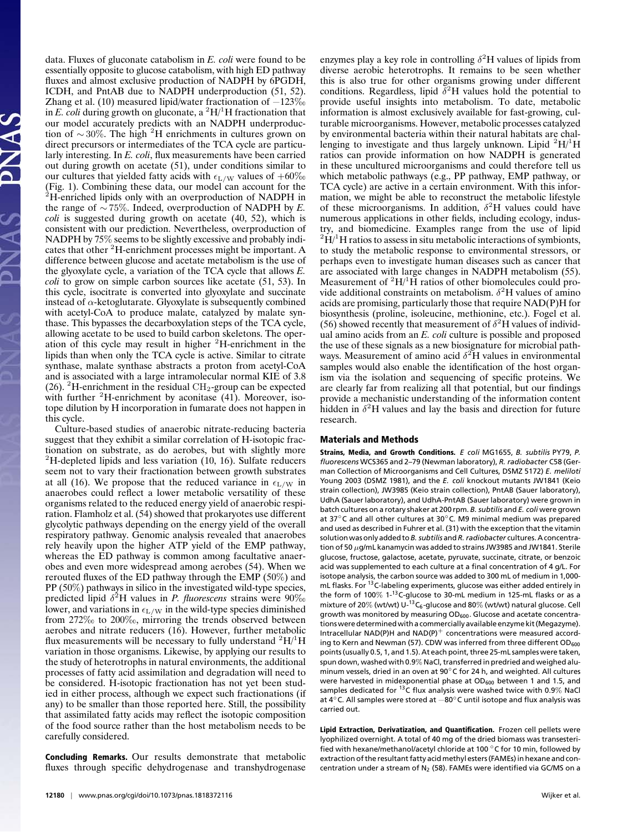data. Fluxes of gluconate catabolism in *E. coli* were found to be essentially opposite to glucose catabolism, with high ED pathway fluxes and almost exclusive production of NADPH by 6PGDH, ICDH, and PntAB due to NADPH underproduction (51, 52). Zhang et al. (10) measured lipid/water fractionation of  $-123\%$ in *E. coli* during growth on gluconate, a  ${}^{2}H/{}^{1}H$  fractionation that our model accurately predicts with an NADPH underproduction of  $\sim$  30%. The high <sup>2</sup>H enrichments in cultures grown on direct precursors or intermediates of the TCA cycle are particularly interesting. In *E. coli*, flux measurements have been carried out during growth on acetate (51), under conditions similar to our cultures that yielded fatty acids with  $\epsilon_{\rm L/W}$  values of  $+60\%$ (Fig. 1). Combining these data, our model can account for the  ${}^{2}$ H-enriched lipids only with an overproduction of NADPH in the range of ∼ 75%. Indeed, overproduction of NADPH by *E. coli* is suggested during growth on acetate (40, 52), which is consistent with our prediction. Nevertheless, overproduction of NADPH by 75% seems to be slightly excessive and probably indicates that other <sup>2</sup>H-enrichment processes might be important. A difference between glucose and acetate metabolism is the use of the glyoxylate cycle, a variation of the TCA cycle that allows *E. coli* to grow on simple carbon sources like acetate (51, 53). In this cycle, isocitrate is converted into glyoxylate and succinate instead of  $\alpha$ -ketoglutarate. Glyoxylate is subsequently combined with acetyl-CoA to produce malate, catalyzed by malate synthase. This bypasses the decarboxylation steps of the TCA cycle, allowing acetate to be used to build carbon skeletons. The operation of this cycle may result in higher <sup>2</sup>H-enrichment in the lipids than when only the TCA cycle is active. Similar to citrate synthase, malate synthase abstracts a proton from acetyl-CoA and is associated with a large intramolecular normal KIE of 3.8 (26). <sup>2</sup>H-enrichment in the residual  $\text{CH}_2$ -group can be expected with further  ${}^{2}$ H-enrichment by aconitase (41). Moreover, isotope dilution by H incorporation in fumarate does not happen in this cycle.

Culture-based studies of anaerobic nitrate-reducing bacteria suggest that they exhibit a similar correlation of H-isotopic fractionation on substrate, as do aerobes, but with slightly more  ${}^{2}$ H-depleted lipids and less variation (10, 16). Sulfate reducers seem not to vary their fractionation between growth substrates at all (16). We propose that the reduced variance in  $\epsilon_{\text{L/W}}$  in anaerobes could reflect a lower metabolic versatility of these organisms related to the reduced energy yield of anaerobic respiration. Flamholz et al. (54) showed that prokaryotes use different glycolytic pathways depending on the energy yield of the overall respiratory pathway. Genomic analysis revealed that anaerobes rely heavily upon the higher ATP yield of the EMP pathway, whereas the ED pathway is common among facultative anaerobes and even more widespread among aerobes (54). When we rerouted fluxes of the ED pathway through the EMP (50%) and PP (50%) pathways in silico in the investigated wild-type species, predicted lipid δ <sup>2</sup>H values in *P. fluorescens* strains were 90‰ lower, and variations in  $\epsilon_{\rm L/W}$  in the wild-type species diminished from 272‰ to 200‰, mirroring the trends observed between aerobes and nitrate reducers (16). However, further metabolic flux measurements will be necessary to fully understand  ${}^{2}H/{}^{1}H$ variation in those organisms. Likewise, by applying our results to the study of heterotrophs in natural environments, the additional processes of fatty acid assimilation and degradation will need to be considered. H-isotopic fractionation has not yet been studied in either process, although we expect such fractionations (if any) to be smaller than those reported here. Still, the possibility that assimilated fatty acids may reflect the isotopic composition of the food source rather than the host metabolism needs to be carefully considered.

Concluding Remarks. Our results demonstrate that metabolic fluxes through specific dehydrogenase and transhydrogenase

enzymes play a key role in controlling  $\delta^2$ H values of lipids from diverse aerobic heterotrophs. It remains to be seen whether this is also true for other organisms growing under different conditions. Regardless, lipid  $\delta^2$ H values hold the potential to provide useful insights into metabolism. To date, metabolic information is almost exclusively available for fast-growing, culturable microorganisms. However, metabolic processes catalyzed by environmental bacteria within their natural habitats are challenging to investigate and thus largely unknown. Lipid  ${}^{2}H/{}^{1}H$ ratios can provide information on how NADPH is generated in these uncultured microorganisms and could therefore tell us which metabolic pathways (e.g., PP pathway, EMP pathway, or TCA cycle) are active in a certain environment. With this information, we might be able to reconstruct the metabolic lifestyle of these microorganisms. In addition,  $\delta^2$ H values could have numerous applications in other fields, including ecology, industry, and biomedicine. Examples range from the use of lipid  ${}^{2}\dot{H}$ <sup>1</sup>H ratios to assess in situ metabolic interactions of symbionts, to study the metabolic response to environmental stressors, or perhaps even to investigate human diseases such as cancer that are associated with large changes in NADPH metabolism (55). Measurement of  ${}^{2}H/{}^{1}H$  ratios of other biomolecules could provide additional constraints on metabolism.  $\delta^2$ H values of amino acids are promising, particularly those that require NAD(P)H for biosynthesis (proline, isoleucine, methionine, etc.). Fogel et al. (56) showed recently that measurement of  $\delta^2$ H values of individual amino acids from an *E. coli* culture is possible and proposed the use of these signals as a new biosignature for microbial pathways. Measurement of amino acid  $\delta^2$ H values in environmental samples would also enable the identification of the host organism via the isolation and sequencing of specific proteins. We are clearly far from realizing all that potential, but our findings provide a mechanistic understanding of the information content hidden in  $\delta^2$ H values and lay the basis and direction for future research.

#### Materials and Methods

Strains, Media, and Growth Conditions. *E coli* MG1655, *B. subtilis* PY79, *P. fluorescens* WCS365 and 2–79 (Newman laboratory), *R. radiobacter* C58 (German Collection of Microorganisms and Cell Cultures, DSMZ 5172) *E. meliloti* Young 2003 (DSMZ 1981), and the *E. coli* knockout mutants JW1841 (Keio strain collection), JW3985 (Keio strain collection), PntAB (Sauer laboratory), UdhA (Sauer laboratory), and UdhA-PntAB (Sauer laboratory) were grown in batch cultures on a rotary shaker at 200 rpm. *B. subtilis* and *E. coli* were grown at 37◦C and all other cultures at 30◦C. M9 minimal medium was prepared and used as described in Fuhrer et al. (31) with the exception that the vitamin solution was only added to*B. subtilis*and*R. radiobacter* cultures. A concentration of 50 µg/mL kanamycin was added to strains JW3985 and JW1841. Sterile glucose, fructose, galactose, acetate, pyruvate, succinate, citrate, or benzoic acid was supplemented to each culture at a final concentration of 4 g/L. For isotope analysis, the carbon source was added to 300 mL of medium in 1,000 mL flasks. For <sup>13</sup>C-labeling experiments, glucose was either added entirely in the form of 100% 1-<sup>13</sup>C-glucose to 30-mL medium in 125-mL flasks or as a mixture of 20% (wt/wt)  $U^{-13}C_6$ -glucose and 80% (wt/wt) natural glucose. Cell growth was monitored by measuring OD<sub>600</sub>. Glucose and acetate concentrationswere determinedwith a commercially available enzyme kit (Megazyme). Intracellular  $NAD(P)H$  and  $NAD(P)^+$  concentrations were measured according to Kern and Newman (57). CDW was inferred from three different OD<sub>600</sub> points (usually 0.5, 1, and 1.5). At each point, three 25-mL samples were taken, spun down, washed with 0.9% NaCl, transferred in predried and weighed aluminum vessels, dried in an oven at 90◦C for 24 h, and weighted. All cultures were harvested in midexponential phase at OD<sub>600</sub> between 1 and 1.5, and samples dedicated for  $^{13}$ C flux analysis were washed twice with 0.9% NaCl at 4 $°C$ . All samples were stored at  $-80°C$  until isotope and flux analysis was carried out.

Lipid Extraction, Derivatization, and Quantification. Frozen cell pellets were lyophilized overnight. A total of 40 mg of the dried biomass was transesterified with hexane/methanol/acetyl chloride at 100 ◦C for 10 min, followed by extraction of the resultant fatty acid methyl esters (FAMEs) in hexane and concentration under a stream of  $N_2$  (58). FAMEs were identified via GC/MS on a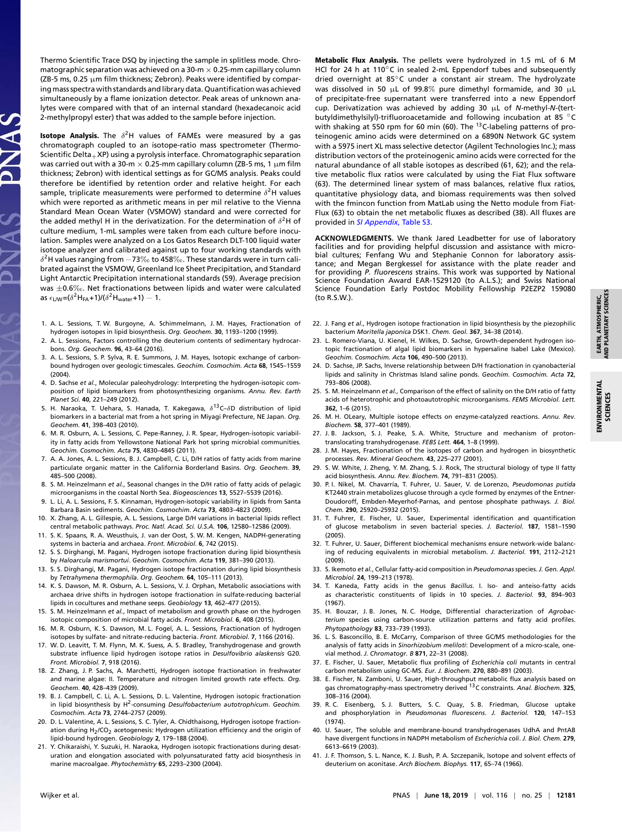Thermo Scientific Trace DSQ by injecting the sample in splitless mode. Chromatographic separation was achieved on a 30-m  $\times$  0.25-mm capillary column (ZB-5 ms, 0.25  $\mu$ m film thickness; Zebron). Peaks were identified by comparing mass spectra with standards and library data. Quantification was achieved simultaneously by a flame ionization detector. Peak areas of unknown analytes were compared with that of an internal standard (hexadecanoic acid 2-methylpropyl ester) that was added to the sample before injection.

**Isotope Analysis.** The  $\delta^2$ H values of FAMEs were measured by a gas chromatograph coupled to an isotope-ratio mass spectrometer (Thermo-Scientific Delta $+$ XP) using a pyrolysis interface. Chromatographic separation was carried out with a 30-m  $\times$  0.25-mm capillary column (ZB-5 ms, 1  $\mu$ m film thickness; Zebron) with identical settings as for GC/MS analysis. Peaks could therefore be identified by retention order and relative height. For each sample, triplicate measurements were performed to determine  $\delta^2$ H values which were reported as arithmetic means in per mil relative to the Vienna Standard Mean Ocean Water (VSMOW) standard and were corrected for the added methyl H in the derivatization. For the determination of  $\delta^2$ H of culture medium, 1-mL samples were taken from each culture before inoculation. Samples were analyzed on a Los Gatos Research DLT-100 liquid water isotope analyzer and calibrated against up to four working standards with  $\delta^2$ H values ranging from  $-73\%$ o to 458 $\%$ o. These standards were in turn calibrated against the VSMOW, Greenland Ice Sheet Precipitation, and Standard Light Antarctic Precipitation international standards (59). Average precision was ±0.6‰. Net fractionations between lipids and water were calculated as  $\epsilon_{\text{\rm LW}}$ =( $\delta^2$ H $_{\text{FA}}$ +1)/( $\delta^2$ H $_{\text{water}}$ +1)  $-$  1.

- 1. A. L. Sessions, T. W. Burgoyne, A. Schimmelmann, J. M. Hayes, Fractionation of hydrogen isotopes in lipid biosynthesis. *Org. Geochem.* **30**, 1193–1200 (1999).
- 2. A. L. Sessions, Factors controlling the deuterium contents of sedimentary hydrocarbons. *Org. Geochem.* **96**, 43–64 (2016).
- 3. A. L. Sessions, S. P. Sylva, R. E. Summons, J. M. Hayes, Isotopic exchange of carbonbound hydrogen over geologic timescales. *Geochim. Cosmochim. Acta* **68**, 1545–1559 (2004).
- 4. D. Sachse *et al.*, Molecular paleohydrology: Interpreting the hydrogen-isotopic composition of lipid biomarkers from photosynthesizing organisms. *Annu. Rev. Earth Planet Sci.* **40**, 221–249 (2012).
- 5. H. Naraoka, T. Uehara, S. Hanada, T. Kakegawa,  $\delta^{13}$ C- $\delta$ D distribution of lipid biomarkers in a bacterial mat from a hot spring in Miyagi Prefecture, NE Japan. *Org. Geochem.* **41**, 398–403 (2010).
- 6. M. R. Osburn, A. L. Sessions, C. Pepe-Ranney, J. R. Spear, Hydrogen-isotopic variability in fatty acids from Yellowstone National Park hot spring microbial communities. *Geochim. Cosmochim. Acta* **75**, 4830–4845 (2011).
- 7. A. A. Jones, A. L. Sessions, B. J. Campbell, C. Li, D/H ratios of fatty acids from marine particulate organic matter in the California Borderland Basins. *Org. Geochem.* **39**, 485–500 (2008).
- 8. S. M. Heinzelmann *et al.*, Seasonal changes in the D/H ratio of fatty acids of pelagic microorganisms in the coastal North Sea. *Biogeosciences* **13**, 5527–5539 (2016).
- 9. L. Li, A. L. Sessions, F. S. Kinnaman, Hydrogen-isotopic variability in lipids from Santa Barbara Basin sediments. *Geochim. Cosmochim. Acta* **73**, 4803–4823 (2009).
- 10. X. Zhang, A. L. Gillespie, A. L. Sessions, Large D/H variations in bacterial lipids reflect central metabolic pathways. *Proc. Natl. Acad. Sci. U.S.A.* **106**, 12580–12586 (2009).
- 11. S. K. Spaans, R. A. Weusthuis, J. van der Oost, S. W. M. Kengen, NADPH-generating systems in bacteria and archaea. *Front. Microbiol.* **6**, 742 (2015).
- 12. S. S. Dirghangi, M. Pagani, Hydrogen isotope fractionation during lipid biosynthesis by *Haloarcula marismortui*. *Geochim. Cosmochim. Acta* **119**, 381–390 (2013).
- 13. S. S. Dirghangi, M. Pagani, Hydrogen isotope fractionation during lipid biosynthesis by *Tetrahymena thermophila*. *Org. Geochem.* **64**, 105–111 (2013).
- 14. K. S. Dawson, M. R. Osburn, A. L. Sessions, V. J. Orphan, Metabolic associations with archaea drive shifts in hydrogen isotope fractionation in sulfate-reducing bacterial lipids in cocultures and methane seeps. *Geobiology* **13**, 462–477 (2015).
- 15. S. M. Heinzelmann *et al.*, Impact of metabolism and growth phase on the hydrogen isotopic composition of microbial fatty acids. *Front. Microbiol.* **6**, 408 (2015).
- 16. M. R. Osburn, K. S. Dawson, M. L. Fogel, A. L. Sessions, Fractionation of hydrogen isotopes by sulfate- and nitrate-reducing bacteria. *Front. Microbiol.* **7**, 1166 (2016).
- 17. W. D. Leavitt, T. M. Flynn, M. K. Suess, A. S. Bradley, Transhydrogenase and growth substrate influence lipid hydrogen isotope ratios in *Desulfovibrio alaskensis* G20. *Front. Microbiol.* **7**, 918 (2016).
- 18. Z. Zhang, J. P. Sachs, A. Marchetti, Hydrogen isotope fractionation in freshwater and marine algae: II. Temperature and nitrogen limited growth rate effects. *Org. Geochem.* **40**, 428–439 (2009).
- 19. B. J. Campbell, C. Li, A. L. Sessions, D. L. Valentine, Hydrogen isotopic fractionation in lipid biosynthesis by H<sup>2</sup> -consuming *Desulfobacterium autotrophicum*. *Geochim. Cosmochim. Acta* **73**, 2744–2757 (2009).
- 20. D. L. Valentine, A. L. Sessions, S. C. Tyler, A. Chidthaisong, Hydrogen isotope fractionation during H<sub>2</sub>/CO<sub>2</sub> acetogenesis: Hydrogen utilization efficiency and the origin of lipid-bound hydrogen. *Geobiology* **2**, 179–188 (2004).
- 21. Y. Chikaraishi, Y. Suzuki, H. Naraoka, Hydrogen isotopic fractionations during desaturation and elongation associated with polyunsaturated fatty acid biosynthesis in marine macroalgae. *Phytochemistry* **65**, 2293–2300 (2004).

Metabolic Flux Analysis. The pellets were hydrolyzed in 1.5 mL of 6 M HCl for 24 h at 110 $\degree$ C in sealed 2-mL Eppendorf tubes and subsequently dried overnight at 85◦C under a constant air stream. The hydrolyzate was dissolved in 50  $\mu$ L of 99.8% pure dimethyl formamide, and 30  $\mu$ L of precipitate-free supernatant were transferred into a new Eppendorf cup. Derivatization was achieved by adding 30 µL of *N*-methyl-*N*-(tertbutyldimethylsilyl)-trifluoroacetamide and following incubation at 85 °C with shaking at 550 rpm for 60 min (60). The <sup>13</sup>C-labeling patterns of proteinogenic amino acids were determined on a 6890N Network GC system with a 5975 inert XL mass selective detector (Agilent Technologies Inc.); mass distribution vectors of the proteinogenic amino acids were corrected for the natural abundance of all stable isotopes as described (61, 62); and the relative metabolic flux ratios were calculated by using the Fiat Flux software (63). The determined linear system of mass balances, relative flux ratios, quantitative physiology data, and biomass requirements was then solved with the fmincon function from MatLab using the Netto module from Fiat-Flux (63) to obtain the net metabolic fluxes as described (38). All fluxes are provided in *[SI Appendix](https://www.pnas.org/lookup/suppl/doi:10.1073/pnas.1818372116/-/DCSupplemental)*, Table S3.

**ACKNOWLEDGMENTS.** We thank Jared Leadbetter for use of laboratory facilities and for providing helpful discussion and assistance with microbial cultures; Fenfang Wu and Stephanie Connon for laboratory assistance; and Megan Bergkessel for assistance with the plate reader and for providing *P. fluorescens* strains. This work was supported by National Science Foundation Award EAR-1529120 (to A.L.S.); and Swiss National Science Foundation Early Postdoc Mobility Fellowship P2EZP2 159080 (to R.S.W.).

- 22. J. Fang *et al.*, Hydrogen isotope fractionation in lipid biosynthesis by the piezophilic bacterium *Moritella japonica* DSK1. *Chem. Geol.* **367**, 34–38 (2014).
- 23. L. Romero-Viana, U. Kienel, H. Wilkes, D. Sachse, Growth-dependent hydrogen isotopic fractionation of algal lipid biomarkers in hypersaline Isabel Lake (Mexico). *Geochim. Cosmochim. Acta* **106**, 490–500 (2013).
- 24. D. Sachse, JP. Sachs, Inverse relationship between D/H fractionation in cyanobacterial lipids and salinity in Christmas Island saline ponds. *Geochim. Cosmochim. Acta* **72**, 793–806 (2008).
- 25. S. M. Heinzelmann *et al.*, Comparison of the effect of salinity on the D/H ratio of fatty acids of heterotrophic and photoautotrophic microorganisms. *FEMS Microbiol. Lett.* **362**, 1–6 (2015).
- 26. M. H. OLeary, Multiple isotope effects on enzyme-catalyzed reactions. *Annu. Rev. Biochem.* **58**, 377–401 (1989).
- 27. J. B. Jackson, S. J. Peake, S. A. White, Structure and mechanism of protontranslocating transhydrogenase. *FEBS Lett.* **464**, 1–8 (1999).
- 28. J. M. Hayes, Fractionation of the isotopes of carbon and hydrogen in biosynthetic processes. *Rev. Mineral Geochem.* **43**, 225–277 (2001).
- 29. S. W. White, J. Zheng, Y. M. Zhang, S. J. Rock, The structural biology of type II fatty acid biosynthesis. *Annu. Rev. Biochem.* **74**, 791–831 (2005).
- 30. P. I. Nikel, M. Chavarría, T. Fuhrer, U. Sauer, V. de Lorenzo, *Pseudomonas putida* KT2440 strain metabolizes glucose through a cycle formed by enzymes of the Entner-Doudoroff, Embden-Meyerhof-Parnas, and pentose phosphate pathways. *J. Biol. Chem.* **290**, 25920–25932 (2015).
- 31. T. Fuhrer, E. Fischer, U. Sauer, Experimental identification and quantification of glucose metabolism in seven bacterial species. *J. Bacteriol.* **187**, 1581–1590 (2005).
- 32. T. Fuhrer, U. Sauer, Different biochemical mechanisms ensure network-wide balancing of reducing equivalents in microbial metabolism. *J. Bacteriol.* **191**, 2112–2121 (2009).
- 33. S. Ikemoto *et al.*, Cellular fatty-acid composition in *Pseudomonas* species. *J. Gen. Appl. Microbiol.* **24**, 199–213 (1978).
- 34. T. Kaneda, Fatty acids in the genus *Bacillus*. I. Iso- and anteiso-fatty acids as characteristic constituents of lipids in 10 species. *J. Bacteriol.* **93**, 894–903 (1967).
- 35. H. Bouzar, J. B. Jones, N. C. Hodge, Differential characterization of *Agrobacterium* species using carbon-source utilization patterns and fatty acid profiles. *Phytopathology* **83**, 733–739 (1993).
- 36. L. S. Basconcillo, B. E. McCarry, Comparison of three GC/MS methodologies for the analysis of fatty acids in *Sinorhizobium meliloti*: Development of a micro-scale, onevial method. *J. Chromatogr. B* **871**, 22–31 (2008).
- 37. E. Fischer, U. Sauer, Metabolic flux profiling of *Escherichia coli* mutants in central carbon metabolism using GC-MS. *Eur. J. Biochem.* **270**, 880–891 (2003).
- 38. E. Fischer, N. Zamboni, U. Sauer, High-throughput metabolic flux analysis based on gas chromatography-mass spectrometry derived <sup>13</sup>C constraints. *Anal. Biochem.* **325**, 308–316 (2004).
- 39. R. C. Eisenberg, S. J. Butters, S. C. Quay, S. B. Friedman, Glucose uptake and phosphorylation in *Pseudomonas fluorescens*. *J. Bacteriol.* **120**, 147–153 (1974).
- 40. U. Sauer, The soluble and membrane-bound transhydrogenases UdhA and PntAB have divergent functions in NADPH metabolism of *Escherichia coli*. *J. Biol. Chem.* **279**, 6613–6619 (2003).
- 41. J. F. Thomson, S. L. Nance, K. J. Bush, P. A. Szczepanik, Isotope and solvent effects of deuterium on aconitase. *Arch Biochem. Biophys.* **117**, 65–74 (1966).